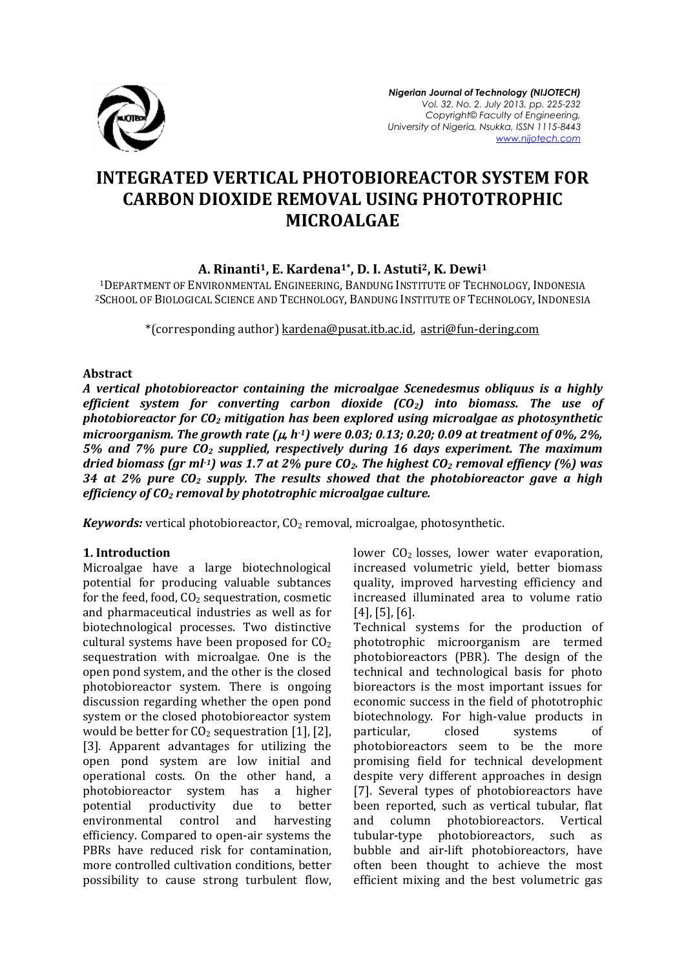

# **INTEGRATED VERTICAL PHOTOBIOREACTOR SYSTEM FOR CARBON DIOXIDE REMOVAL USING PHOTOTROPHIC MICROALGAE**

# **A. Rinanti1, E. Kardena1\*, D. I. Astuti2, K. Dewi<sup>1</sup>**

<sup>1</sup>DEPARTMENT OF ENVIRONMENTAL ENGINEERING, BANDUNG INSTITUTE OF TECHNOLOGY, INDONESIA <sup>2</sup>SCHOOL OF BIOLOGICAL SCIENCE AND TECHNOLOGY, BANDUNG INSTITUTE OF TECHNOLOGY, INDONESIA

\*(corresponding author) [kardena@pusat.itb.ac.id,](mailto:kardena@pusat.itb.ac.id) [astri@fun-dering.com](mailto:astri@fun-dering.com)

#### **Abstract**

*A vertical photobioreactor containing the microalgae Scenedesmus obliquus is a highly efficient system for converting carbon dioxide (CO2) into biomass. The use of photobioreactor for CO<sup>2</sup> mitigation has been explored using microalgae as photosynthetic microorganism. The growth rate*  $(\mu, h^{-1})$  *were 0.03; 0.13; 0.20; 0.09 at treatment of 0%, 2%, 5% and 7% pure CO<sup>2</sup> supplied, respectively during 16 days experiment. The maximum dried biomass (gr ml-1) was 1.7 at 2% pure CO2. The highest CO<sup>2</sup> removal effiency (%) was 34 at 2% pure CO<sup>2</sup> supply. The results showed that the photobioreactor gave a high efficiency of CO<sup>2</sup> removal by phototrophic microalgae culture.*

*Keywords:* vertical photobioreactor, CO<sub>2</sub> removal, microalgae, photosynthetic.

#### **1. Introduction**

Microalgae have a large biotechnological potential for producing valuable subtances for the feed, food,  $CO<sub>2</sub>$  sequestration, cosmetic and pharmaceutical industries as well as for biotechnological processes. Two distinctive cultural systems have been proposed for  $CO<sub>2</sub>$ sequestration with microalgae. One is the open pond system, and the other is the closed photobioreactor system. There is ongoing discussion regarding whether the open pond system or the closed photobioreactor system would be better for  $CO<sub>2</sub>$  sequestration [1], [2], [3]. Apparent advantages for utilizing the open pond system are low initial and operational costs. On the other hand, a photobioreactor system has a higher potential productivity due to better environmental control and harvesting efficiency. Compared to open-air systems the PBRs have reduced risk for contamination, more controlled cultivation conditions, better possibility to cause strong turbulent flow, lower  $CO<sub>2</sub>$  losses, lower water evaporation, increased volumetric yield, better biomass quality, improved harvesting efficiency and increased illuminated area to volume ratio [4], [5], [6].

Technical systems for the production of phototrophic microorganism are termed photobioreactors (PBR). The design of the technical and technological basis for photo bioreactors is the most important issues for economic success in the field of phototrophic biotechnology. For high-value products in particular, closed systems of photobioreactors seem to be the more promising field for technical development despite very different approaches in design [7]. Several types of photobioreactors have been reported, such as vertical tubular, flat and column photobioreactors. Vertical tubular-type photobioreactors, such as bubble and air-lift photobioreactors, have often been thought to achieve the most efficient mixing and the best volumetric gas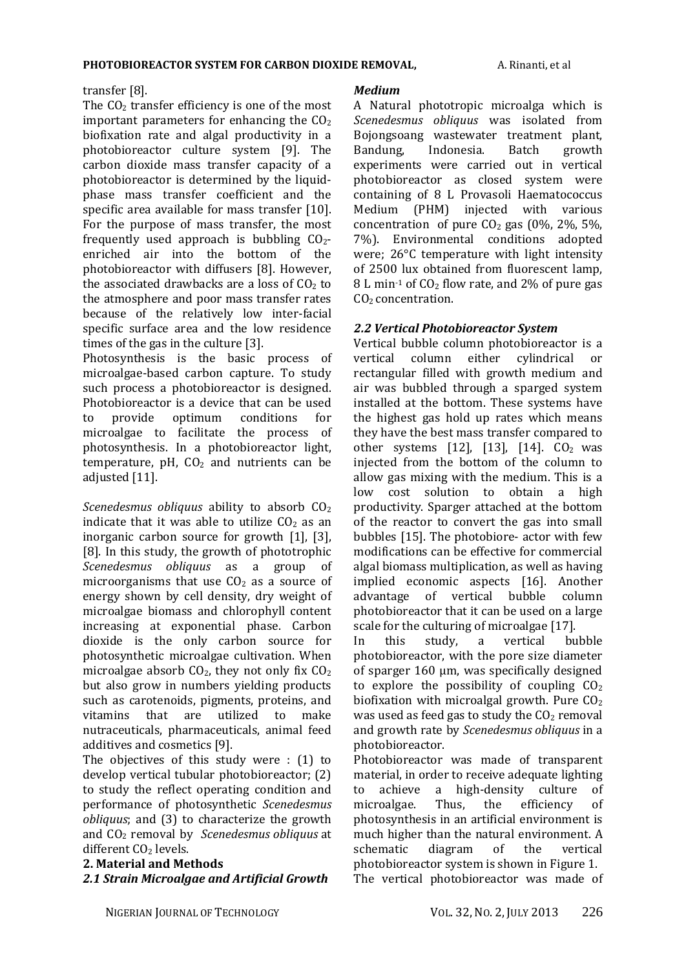### transfer [8].

The  $CO<sub>2</sub>$  transfer efficiency is one of the most important parameters for enhancing the  $CO<sub>2</sub>$ biofixation rate and algal productivity in a photobioreactor culture system [9]. The carbon dioxide mass transfer capacity of a photobioreactor is determined by the liquidphase mass transfer coefficient and the specific area available for mass transfer [10]. For the purpose of mass transfer, the most frequently used approach is bubbling  $CO<sub>2</sub>$ enriched air into the bottom of the photobioreactor with diffusers [8]. However, the associated drawbacks are a loss of  $CO<sub>2</sub>$  to the atmosphere and poor mass transfer rates because of the relatively low inter-facial specific surface area and the low residence times of the gas in the culture [3].

Photosynthesis is the basic process of microalgae-based carbon capture. To study such process a photobioreactor is designed. Photobioreactor is a device that can be used to provide optimum conditions for microalgae to facilitate the process of photosynthesis. In a photobioreactor light, temperature, pH,  $CO<sub>2</sub>$  and nutrients can be adjusted [11].

*Scenedesmus obliquus* ability to absorb  $CO<sub>2</sub>$ indicate that it was able to utilize  $CO<sub>2</sub>$  as an inorganic carbon source for growth [1], [3], [8]. In this study, the growth of phototrophic *Scenedesmus obliquus* as a group of microorganisms that use  $CO<sub>2</sub>$  as a source of energy shown by cell density, dry weight of microalgae biomass and chlorophyll content increasing at exponential phase. Carbon dioxide is the only carbon source for photosynthetic microalgae cultivation. When microalgae absorb  $CO<sub>2</sub>$ , they not only fix  $CO<sub>2</sub>$ but also grow in numbers yielding products such as carotenoids, pigments, proteins, and vitamins that are utilized to make nutraceuticals, pharmaceuticals, animal feed additives and cosmetics [9].

The objectives of this study were : (1) to develop vertical tubular photobioreactor; (2) to study the reflect operating condition and performance of photosynthetic *Scenedesmus obliquus*; and (3) to characterize the growth and CO<sup>2</sup> removal by *Scenedesmus obliquus* at different CO<sub>2</sub> levels.

### **2. Material and Methods**

# *2.1 Strain Microalgae and Artificial Growth*

### *Medium*

A Natural phototropic microalga which is *Scenedesmus obliquus* was isolated from Bojongsoang wastewater treatment plant, Bandung, Indonesia. Batch growth experiments were carried out in vertical photobioreactor as closed system were containing of 8 L Provasoli Haematococcus Medium (PHM) injected with various concentration of pure  $CO<sub>2</sub>$  gas (0%, 2%, 5%, 7%). Environmental conditions adopted were; 26°C temperature with light intensity of 2500 lux obtained from fluorescent lamp,  $8 L$  min<sup>-1</sup> of  $CO<sub>2</sub>$  flow rate, and 2% of pure gas CO<sub>2</sub> concentration.

# *2.2 Vertical Photobioreactor System*

Vertical bubble column photobioreactor is a vertical column either cylindrical or rectangular filled with growth medium and air was bubbled through a sparged system installed at the bottom. These systems have the highest gas hold up rates which means they have the best mass transfer compared to other systems  $[12]$ ,  $[13]$ ,  $[14]$ .  $CO<sub>2</sub>$  was injected from the bottom of the column to allow gas mixing with the medium. This is a low cost solution to obtain a high productivity. Sparger attached at the bottom of the reactor to convert the gas into small bubbles [15]. The photobiore- actor with few modifications can be effective for commercial algal biomass multiplication, as well as having implied economic aspects [16]. Another advantage of vertical bubble column photobioreactor that it can be used on a large scale for the culturing of microalgae [17].

In this study, a vertical bubble photobioreactor, with the pore size diameter of sparger 160 μm, was specifically designed to explore the possibility of coupling  $CO<sub>2</sub>$ biofixation with microalgal growth. Pure  $CO<sub>2</sub>$ was used as feed gas to study the  $CO<sub>2</sub>$  removal and growth rate by *Scenedesmus obliquus* in a photobioreactor.

Photobioreactor was made of transparent material, in order to receive adequate lighting to achieve a high-density culture of microalgae. Thus, the efficiency of photosynthesis in an artificial environment is much higher than the natural environment. A schematic diagram of the vertical photobioreactor system is shown in Figure 1. The vertical photobioreactor was made of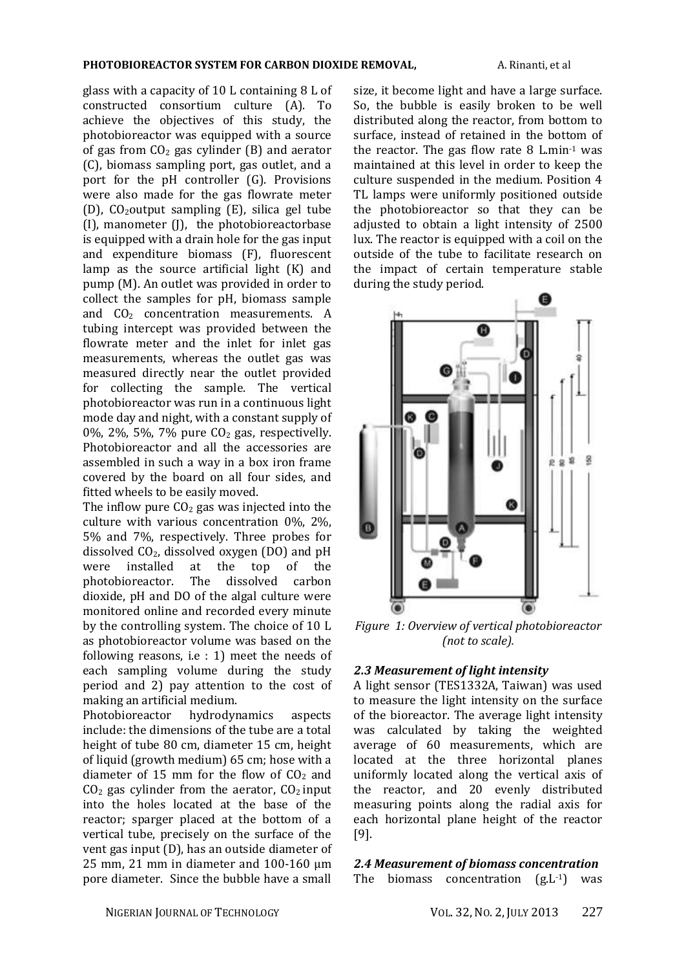glass with a capacity of 10 L containing 8 L of constructed consortium culture (A). To achieve the objectives of this study, the photobioreactor was equipped with a source of gas from  $CO<sub>2</sub>$  gas cylinder (B) and aerator (C), biomass sampling port, gas outlet, and a port for the pH controller (G). Provisions were also made for the gas flowrate meter (D),  $CO_2$ output sampling (E), silica gel tube (I), manometer (J), the photobioreactorbase is equipped with a drain hole for the gas input and expenditure biomass (F), fluorescent lamp as the source artificial light (K) and pump (M). An outlet was provided in order to collect the samples for pH, biomass sample and  $CO<sub>2</sub>$  concentration measurements. A tubing intercept was provided between the flowrate meter and the inlet for inlet gas measurements, whereas the outlet gas was measured directly near the outlet provided for collecting the sample. The vertical photobioreactor was run in a continuous light mode day and night, with a constant supply of 0%, 2%, 5%, 7% pure  $CO<sub>2</sub>$  gas, respectivelly. Photobioreactor and all the accessories are assembled in such a way in a box iron frame covered by the board on all four sides, and fitted wheels to be easily moved.

The inflow pure  $CO<sub>2</sub>$  gas was injected into the culture with various concentration 0%, 2%, 5% and 7%, respectively. Three probes for dissolved  $CO<sub>2</sub>$ , dissolved oxygen (DO) and pH were installed at the top of the photobioreactor. The dissolved carbon dioxide, pH and DO of the algal culture were monitored online and recorded every minute by the controlling system. The choice of 10 L as photobioreactor volume was based on the following reasons, i.e : 1) meet the needs of each sampling volume during the study period and 2) pay attention to the cost of making an artificial medium.

Photobioreactor hydrodynamics aspects include: the dimensions of the tube are a total height of tube 80 cm, diameter 15 cm, height of liquid (growth medium) 65 cm; hose with a diameter of 15 mm for the flow of  $CO<sub>2</sub>$  and  $CO<sub>2</sub>$  gas cylinder from the aerator,  $CO<sub>2</sub>$  input into the holes located at the base of the reactor; sparger placed at the bottom of a vertical tube, precisely on the surface of the vent gas input (D), has an outside diameter of 25 mm, 21 mm in diameter and 100-160 μm pore diameter. Since the bubble have a small size, it become light and have a large surface. So, the bubble is easily broken to be well distributed along the reactor, from bottom to surface, instead of retained in the bottom of the reactor. The gas flow rate  $8$  L.min $-1$  was maintained at this level in order to keep the culture suspended in the medium. Position 4 TL lamps were uniformly positioned outside the photobioreactor so that they can be adjusted to obtain a light intensity of 2500 lux. The reactor is equipped with a coil on the outside of the tube to facilitate research on the impact of certain temperature stable during the study period.



*Figure 1: Overview of vertical photobioreactor (not to scale).*

#### *2.3 Measurement of light intensity*

A light sensor (TES1332A, Taiwan) was used to measure the light intensity on the surface of the bioreactor. The average light intensity was calculated by taking the weighted average of 60 measurements, which are located at the three horizontal planes uniformly located along the vertical axis of the reactor, and 20 evenly distributed measuring points along the radial axis for each horizontal plane height of the reactor [9].

#### *2.4 Measurement of biomass concentration*

The biomass concentration  $(g.L^{-1})$  was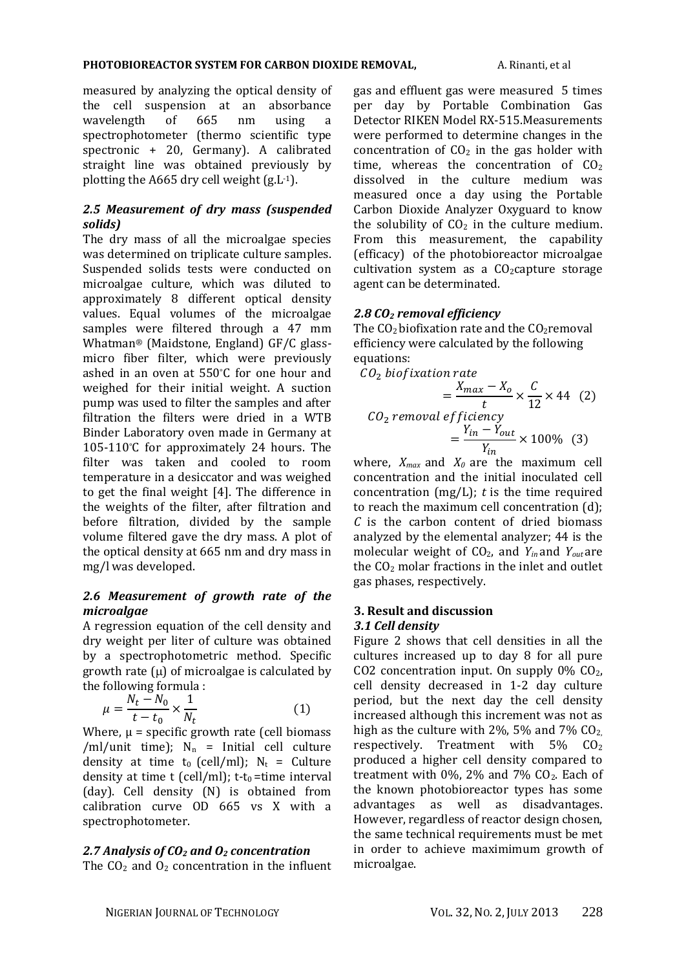measured by analyzing the optical density of the cell suspension at an absorbance wavelength of 665 nm using a spectrophotometer (thermo scientific type spectronic + 20, Germany). A calibrated straight line was obtained previously by plotting the A665 dry cell weight (g.L-1).

### *2.5 Measurement of dry mass (suspended solids)*

The dry mass of all the microalgae species was determined on triplicate culture samples. Suspended solids tests were conducted on microalgae culture, which was diluted to approximately 8 different optical density values. Equal volumes of the microalgae samples were filtered through a 47 mm Whatman® (Maidstone, England) GF/C glassmicro fiber filter, which were previously ashed in an oven at 550°C for one hour and weighed for their initial weight. A suction pump was used to filter the samples and after filtration the filters were dried in a WTB Binder Laboratory oven made in Germany at 105-110°C for approximately 24 hours. The filter was taken and cooled to room temperature in a desiccator and was weighed to get the final weight [4]. The difference in the weights of the filter, after filtration and before filtration, divided by the sample volume filtered gave the dry mass. A plot of the optical density at 665 nm and dry mass in mg/l was developed.

# *2.6 Measurement of growth rate of the microalgae*

A regression equation of the cell density and dry weight per liter of culture was obtained by a spectrophotometric method. Specific growth rate  $(\mu)$  of microalgae is calculated by the following formula :

$$
\mu = \frac{N_t - N_0}{t - t_0} \times \frac{1}{N_t} \tag{1}
$$

Where,  $\mu$  = specific growth rate (cell biomass /ml/unit time);  $N_n$  = Initial cell culture density at time t<sub>0</sub> (cell/ml);  $N_t$  = Culture density at time t (cell/ml); t-t<sub>0</sub> =time interval (day). Cell density (N) is obtained from calibration curve OD 665 vs X with a spectrophotometer.

# *2.7 Analysis of CO<sup>2</sup> and O<sup>2</sup> concentration*

The  $CO<sub>2</sub>$  and  $O<sub>2</sub>$  concentration in the influent

gas and effluent gas were measured 5 times per day by Portable Combination Gas Detector RIKEN Model RX-515.Measurements were performed to determine changes in the concentration of  $CO<sub>2</sub>$  in the gas holder with time, whereas the concentration of  $CO<sub>2</sub>$ dissolved in the culture medium was measured once a day using the Portable Carbon Dioxide Analyzer Oxyguard to know the solubility of  $CO<sub>2</sub>$  in the culture medium. From this measurement, the capability (efficacy) of the photobioreactor microalgae cultivation system as a  $CO<sub>2</sub>$ capture storage agent can be determinated.

# *2.8 CO<sup>2</sup> removal efficiency*

The  $CO<sub>2</sub>$  biofixation rate and the  $CO<sub>2</sub>$ removal efficiency were calculated by the following equations:

$$
CO2 biofixation rate
$$
  
=  $\frac{X_{max} - X_o}{t} \times \frac{C}{12} \times 44$  (2)  

$$
CO2 removal efficiency
$$
  
=  $\frac{Y_{in} - Y_{out}}{Y_{in}} \times 100\%$  (3)

where,  $X_{max}$  and  $X_0$  are the maximum cell concentration and the initial inoculated cell concentration (mg/L); *t* is the time required to reach the maximum cell concentration (d); *C* is the carbon content of dried biomass analyzed by the elemental analyzer; 44 is the molecular weight of CO2, and *Yin* and *Yout* are the CO<sub>2</sub> molar fractions in the inlet and outlet gas phases, respectively.

### **3. Result and discussion** *3.1 Cell density*

Figure 2 shows that cell densities in all the cultures increased up to day 8 for all pure CO2 concentration input. On supply  $0\%$  CO<sub>2</sub>, cell density decreased in 1-2 day culture period, but the next day the cell density increased although this increment was not as high as the culture with 2%, 5% and 7%  $CO<sub>2</sub>$ , respectively. Treatment with  $5\%$   $CO<sub>2</sub>$ produced a higher cell density compared to treatment with  $0\%$ ,  $2\%$  and  $7\%$  CO<sub>2</sub>. Each of the known photobioreactor types has some advantages as well as disadvantages. However, regardless of reactor design chosen, the same technical requirements must be met in order to achieve maximimum growth of microalgae.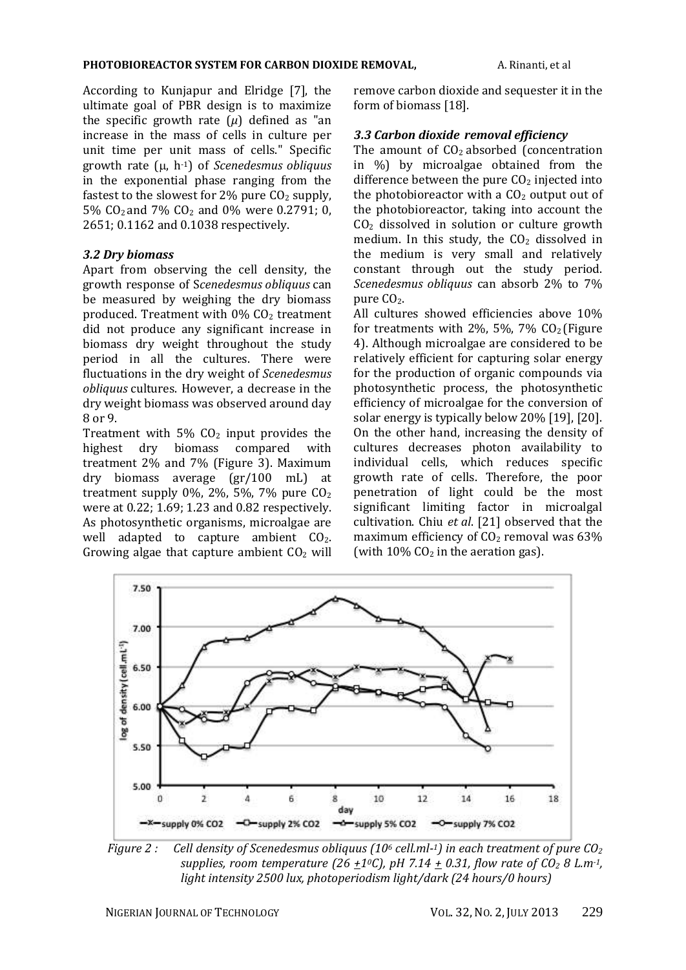According to Kunjapur and Elridge [7], the ultimate goal of PBR design is to maximize the specific growth rate  $(\mu)$  defined as "an increase in the mass of cells in culture per unit time per unit mass of cells." Specific growth rate ( $\mu$ , h<sup>-1</sup>) of *Scenedesmus obliquus* in the exponential phase ranging from the fastest to the slowest for  $2\%$  pure  $CO<sub>2</sub>$  supply, 5% CO2 and 7% CO<sup>2</sup> and 0% were 0.2791; 0, 2651; 0.1162 and 0.1038 respectively.

### *3.2 Dry biomass*

Apart from observing the cell density, the growth response of S*cenedesmus obliquus* can be measured by weighing the dry biomass produced. Treatment with  $0\%$  CO<sub>2</sub> treatment did not produce any significant increase in biomass dry weight throughout the study period in all the cultures. There were fluctuations in the dry weight of *Scenedesmus obliquus* cultures. However, a decrease in the dry weight biomass was observed around day 8 or 9.

Treatment with  $5\%$  CO<sub>2</sub> input provides the highest dry biomass compared with treatment 2% and 7% (Figure 3). Maximum dry biomass average (gr/100 mL) at treatment supply 0%, 2%, 5%, 7% pure  $CO<sub>2</sub>$ were at 0.22; 1.69; 1.23 and 0.82 respectively. As photosynthetic organisms, microalgae are well adapted to capture ambient CO<sub>2</sub>. Growing algae that capture ambient  $CO<sub>2</sub>$  will remove carbon dioxide and sequester it in the form of biomass [18].

# *3.3 Carbon dioxide removal efficiency*

The amount of  $CO<sub>2</sub>$  absorbed (concentration in %) by microalgae obtained from the difference between the pure  $CO<sub>2</sub>$  injected into the photobioreactor with a  $CO<sub>2</sub>$  output out of the photobioreactor, taking into account the  $CO<sub>2</sub>$  dissolved in solution or culture growth medium. In this study, the  $CO<sub>2</sub>$  dissolved in the medium is very small and relatively constant through out the study period. *Scenedesmus obliquus* can absorb 2% to 7% pure CO<sub>2</sub>.

All cultures showed efficiencies above 10% for treatments with  $2\%$ , 5%, 7%  $CO<sub>2</sub>$  (Figure 4). Although microalgae are considered to be relatively efficient for capturing solar energy for the production of organic compounds via photosynthetic process, the photosynthetic efficiency of microalgae for the conversion of solar energy is typically below 20% [19], [20]. On the other hand, increasing the density of cultures decreases photon availability to individual cells, which reduces specific growth rate of cells. Therefore, the poor penetration of light could be the most significant limiting factor in microalgal cultivation. Chiu *et al*. [21] observed that the maximum efficiency of  $CO<sub>2</sub>$  removal was 63% (with  $10\%$  CO<sub>2</sub> in the aeration gas).



*Figure 2 : Cell density of Scenedesmus obliquus (10<sup>6</sup> cell.ml-<sup>1</sup>) in each treatment of pure CO<sup>2</sup> supplies, room temperature (26*  $\pm 1$ *<sup><i>o*</sup>C), pH 7.14  $\pm$  0.31, flow rate of CO<sub>2</sub> 8 L.m<sup>-1</sup>, *light intensity 2500 lux, photoperiodism light/dark (24 hours/0 hours)*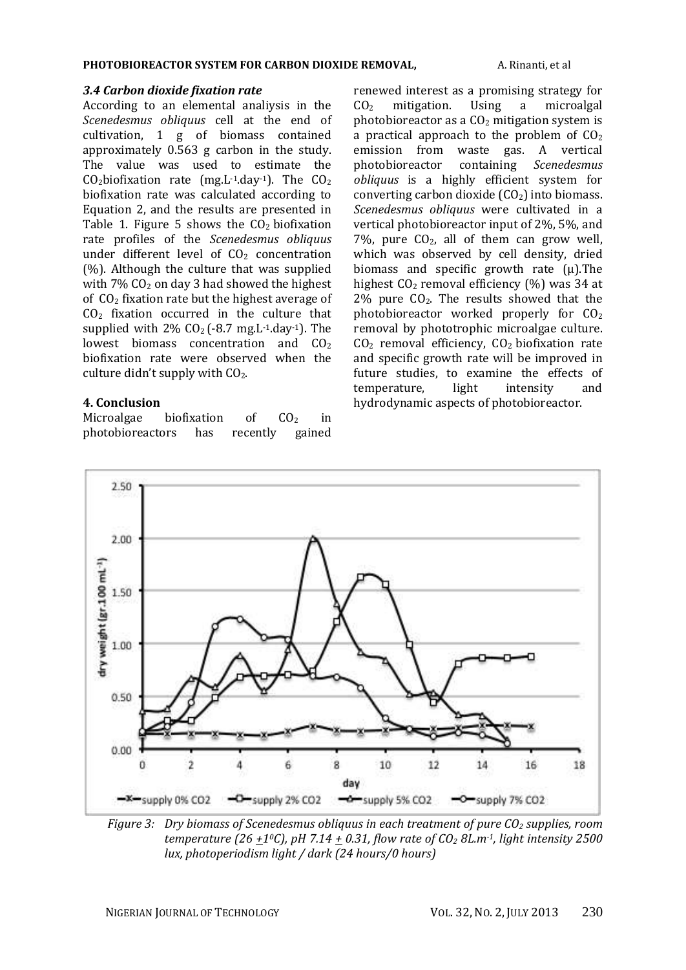#### *3.4 Carbon dioxide fixation rate*

According to an elemental analiysis in the *Scenedesmus obliquus* cell at the end of cultivation, 1 g of biomass contained approximately 0.563 g carbon in the study. The value was used to estimate the  $CO<sub>2</sub>$ biofixation rate (mg.L<sup>-1</sup>.day<sup>-1</sup>). The  $CO<sub>2</sub>$ biofixation rate was calculated according to Equation 2, and the results are presented in Table 1. Figure 5 shows the  $CO<sub>2</sub>$  biofixation rate profiles of the *Scenedesmus obliquus* under different level of  $CO<sub>2</sub>$  concentration (%). Although the culture that was supplied with  $7\%$  CO<sub>2</sub> on day 3 had showed the highest of  $CO<sub>2</sub>$  fixation rate but the highest average of  $CO<sub>2</sub>$  fixation occurred in the culture that supplied with  $2\%$  CO<sub>2</sub> (-8.7 mg.L<sup>-1</sup>.day<sup>-1</sup>). The lowest biomass concentration and CO<sub>2</sub> biofixation rate were observed when the culture didn't supply with CO2.

### **4. Conclusion**

Microalgae biofixation of  $CO<sub>2</sub>$  in photobioreactors has recently gained renewed interest as a promising strategy for CO<sup>2</sup> mitigation. Using a microalgal photobioreactor as a  $CO<sub>2</sub>$  mitigation system is a practical approach to the problem of  $CO<sub>2</sub>$ emission from waste gas. A vertical photobioreactor containing *Scenedesmus obliquus* is a highly efficient system for converting carbon dioxide  $(CO<sub>2</sub>)$  into biomass. *Scenedesmus obliquus* were cultivated in a vertical photobioreactor input of 2%, 5%, and 7%, pure  $CO<sub>2</sub>$ , all of them can grow well, which was observed by cell density, dried biomass and specific growth rate  $(\mu)$ . The highest  $CO_2$  removal efficiency  $(\%)$  was 34 at  $2\%$  pure CO<sub>2</sub>. The results showed that the photobioreactor worked properly for  $CO<sub>2</sub>$ removal by phototrophic microalgae culture. CO<sup>2</sup> removal efficiency, CO2 biofixation rate and specific growth rate will be improved in future studies, to examine the effects of temperature, light intensity and hydrodynamic aspects of photobioreactor.



*Figure 3: Dry biomass of Scenedesmus obliquus in each treatment of pure CO<sup>2</sup> supplies, room temperature (26 +10C), pH 7.14 + 0.31, flow rate of CO<sup>2</sup> 8L.m-1, light intensity 2500 lux, photoperiodism light / dark (24 hours/0 hours)*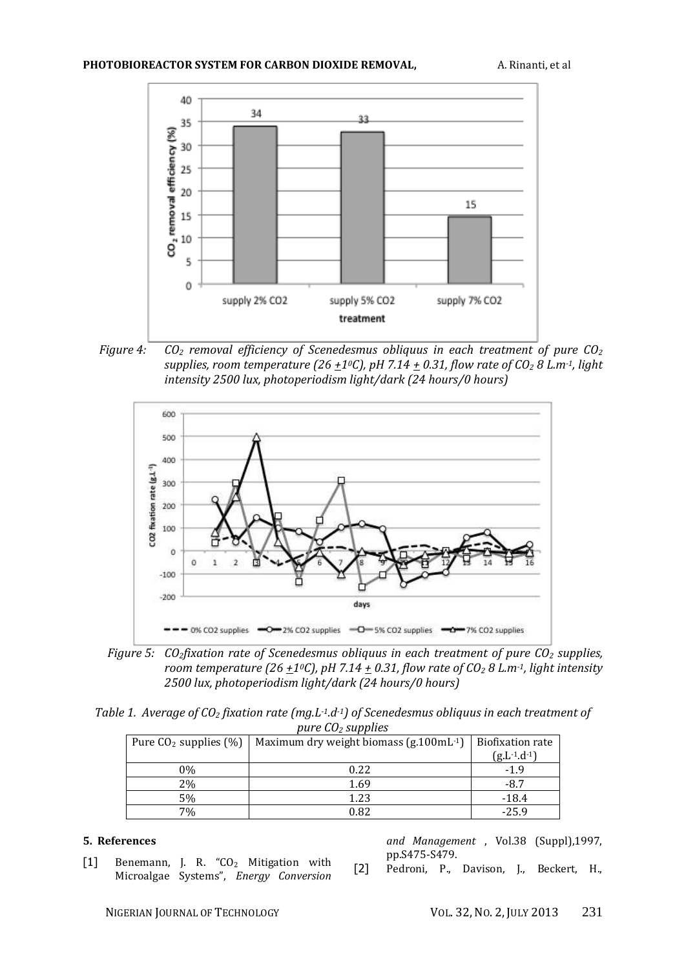

*Figure 4: CO<sup>2</sup> removal efficiency of Scenedesmus obliquus in each treatment of pure CO<sup>2</sup> supplies, room temperature (26*  $\pm$ *1<sup><i>o*</sup>C), pH 7.14  $\pm$  0.31, flow rate of CO<sub>2</sub> 8 L.m<sup>-1</sup>, light *intensity 2500 lux, photoperiodism light/dark (24 hours/0 hours)*



*Figure 5: CO2fixation rate of Scenedesmus obliquus in each treatment of pure CO<sup>2</sup> supplies, room temperature (26*  $\pm 1$ *<sup>o</sup>C), pH 7.14*  $\pm$  *0.31, flow rate of CO<sub>2</sub> 8 L.m<sup>-1</sup>, light intensity 2500 lux, photoperiodism light/dark (24 hours/0 hours)*

*Table 1. Average of CO<sup>2</sup> fixation rate (mg.L-1.d-1) of Scenedesmus obliquus in each treatment of pure CO<sup>2</sup> supplies*

| Pure $CO2$ supplies $(\%)$ | Maximum dry weight biomass $(g.100 \text{mL}^{-1})$ | Biofixation rate    |
|----------------------------|-----------------------------------------------------|---------------------|
|                            |                                                     | $(g.L^{-1}.d^{-1})$ |
| 0%                         | 0.22                                                | $-1.9$              |
| 2%                         | 1.69                                                | $-8.7$              |
| 5%                         | 1.23                                                | $-18.4$             |
| 7%                         | 0.82                                                | $-25.9$             |

#### **5. References**

[1] Benemann, J. R. "CO<sub>2</sub> Mitigation with Microalgae Systems", *Energy Conversion*  *and Management* , Vol.38 (Suppl),1997, pp.S475-S479.

[2] Pedroni, P., Davison, J., Beckert, H.,